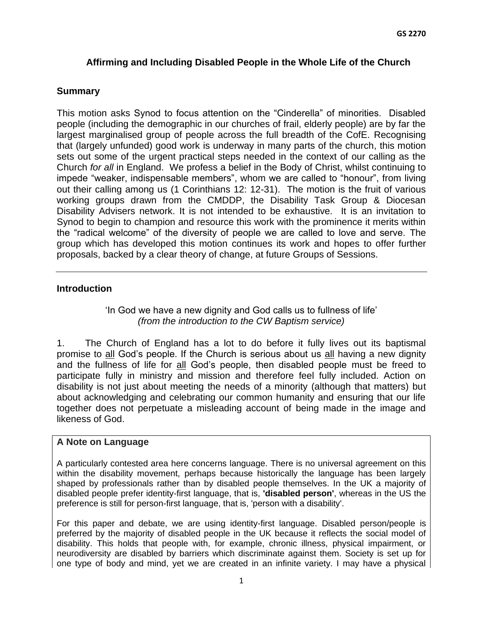### **Affirming and Including Disabled People in the Whole Life of the Church**

#### **Summary**

This motion asks Synod to focus attention on the "Cinderella" of minorities. Disabled people (including the demographic in our churches of frail, elderly people) are by far the largest marginalised group of people across the full breadth of the CofE. Recognising that (largely unfunded) good work is underway in many parts of the church, this motion sets out some of the urgent practical steps needed in the context of our calling as the Church *for all* in England. We profess a belief in the Body of Christ, whilst continuing to impede "weaker, indispensable members", whom we are called to "honour", from living out their calling among us (1 Corinthians 12: 12-31). The motion is the fruit of various working groups drawn from the CMDDP, the Disability Task Group & Diocesan Disability Advisers network. It is not intended to be exhaustive. It is an invitation to Synod to begin to champion and resource this work with the prominence it merits within the "radical welcome" of the diversity of people we are called to love and serve. The group which has developed this motion continues its work and hopes to offer further proposals, backed by a clear theory of change, at future Groups of Sessions.

#### **Introduction**

'In God we have a new dignity and God calls us to fullness of life' *(from the introduction to the CW Baptism service)*

1. The Church of England has a lot to do before it fully lives out its baptismal promise to all God's people. If the Church is serious about us all having a new dignity and the fullness of life for all God's people, then disabled people must be freed to participate fully in ministry and mission and therefore feel fully included. Action on disability is not just about meeting the needs of a minority (although that matters) but about acknowledging and celebrating our common humanity and ensuring that our life together does not perpetuate a misleading account of being made in the image and likeness of God.

#### **A Note on Language**

A particularly contested area here concerns language. There is no universal agreement on this within the disability movement, perhaps because historically the language has been largely shaped by professionals rather than by disabled people themselves. In the UK a majority of disabled people prefer identity-first language, that is, **'disabled person'**, whereas in the US the preference is still for person-first language, that is, 'person with a disability'.

For this paper and debate, we are using identity-first language. Disabled person/people is preferred by the majority of disabled people in the UK because it reflects the social model of disability. This holds that people with, for example, chronic illness, physical impairment, or neurodiversity are disabled by barriers which discriminate against them. Society is set up for one type of body and mind, yet we are created in an infinite variety. I may have a physical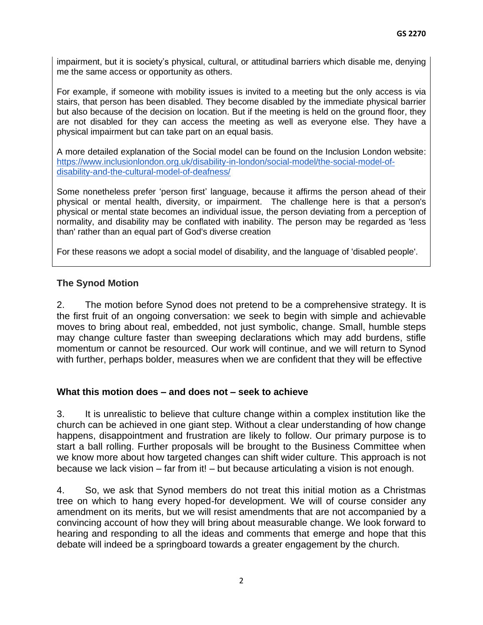impairment, but it is society's physical, cultural, or attitudinal barriers which disable me, denying me the same access or opportunity as others.

For example, if someone with mobility issues is invited to a meeting but the only access is via stairs, that person has been disabled. They become disabled by the immediate physical barrier but also because of the decision on location. But if the meeting is held on the ground floor, they are not disabled for they can access the meeting as well as everyone else. They have a physical impairment but can take part on an equal basis.

A more detailed explanation of the Social model can be found on the Inclusion London website: [https://www.inclusionlondon.org.uk/disability-in-london/social-model/the-social-model-of](https://www.inclusionlondon.org.uk/disability-in-london/social-model/the-social-model-of-disability-and-the-cultural-model-of-deafness/)[disability-and-the-cultural-model-of-deafness/](https://www.inclusionlondon.org.uk/disability-in-london/social-model/the-social-model-of-disability-and-the-cultural-model-of-deafness/) 

Some nonetheless prefer 'person first' language, because it affirms the person ahead of their physical or mental health, diversity, or impairment. The challenge here is that a person's physical or mental state becomes an individual issue, the person deviating from a perception of normality, and disability may be conflated with inability. The person may be regarded as 'less than' rather than an equal part of God's diverse creation

For these reasons we adopt a social model of disability, and the language of 'disabled people'.

### **The Synod Motion**

2. The motion before Synod does not pretend to be a comprehensive strategy. It is the first fruit of an ongoing conversation: we seek to begin with simple and achievable moves to bring about real, embedded, not just symbolic, change. Small, humble steps may change culture faster than sweeping declarations which may add burdens, stifle momentum or cannot be resourced. Our work will continue, and we will return to Synod with further, perhaps bolder, measures when we are confident that they will be effective

#### **What this motion does – and does not – seek to achieve**

3. It is unrealistic to believe that culture change within a complex institution like the church can be achieved in one giant step. Without a clear understanding of how change happens, disappointment and frustration are likely to follow. Our primary purpose is to start a ball rolling. Further proposals will be brought to the Business Committee when we know more about how targeted changes can shift wider culture. This approach is not because we lack vision – far from it! – but because articulating a vision is not enough.

4. So, we ask that Synod members do not treat this initial motion as a Christmas tree on which to hang every hoped-for development. We will of course consider any amendment on its merits, but we will resist amendments that are not accompanied by a convincing account of how they will bring about measurable change. We look forward to hearing and responding to all the ideas and comments that emerge and hope that this debate will indeed be a springboard towards a greater engagement by the church.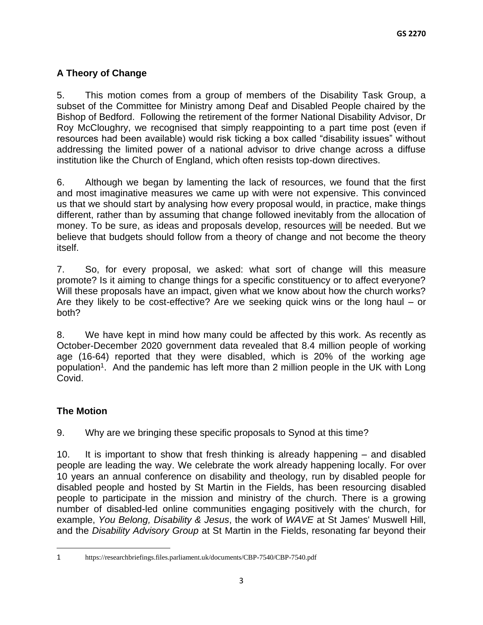# **A Theory of Change**

5. This motion comes from a group of members of the Disability Task Group, a subset of the Committee for Ministry among Deaf and Disabled People chaired by the Bishop of Bedford. Following the retirement of the former National Disability Advisor, Dr Roy McCloughry, we recognised that simply reappointing to a part time post (even if resources had been available) would risk ticking a box called "disability issues" without addressing the limited power of a national advisor to drive change across a diffuse institution like the Church of England, which often resists top-down directives.

6. Although we began by lamenting the lack of resources, we found that the first and most imaginative measures we came up with were not expensive. This convinced us that we should start by analysing how every proposal would, in practice, make things different, rather than by assuming that change followed inevitably from the allocation of money. To be sure, as ideas and proposals develop, resources will be needed. But we believe that budgets should follow from a theory of change and not become the theory itself.

7. So, for every proposal, we asked: what sort of change will this measure promote? Is it aiming to change things for a specific constituency or to affect everyone? Will these proposals have an impact, given what we know about how the church works? Are they likely to be cost-effective? Are we seeking quick wins or the long haul – or both?

8. We have kept in mind how many could be affected by this work. As recently as October-December 2020 government data revealed that 8.4 million people of working age (16-64) reported that they were disabled, which is 20% of the working age population<sup>1</sup>. And the pandemic has left more than 2 million people in the UK with Long Covid.

# **The Motion**

9. Why are we bringing these specific proposals to Synod at this time?

10. It is important to show that fresh thinking is already happening – and disabled people are leading the way. We celebrate the work already happening locally. For over 10 years an annual conference on disability and theology, run by disabled people for disabled people and hosted by St Martin in the Fields, has been resourcing disabled people to participate in the mission and ministry of the church. There is a growing number of disabled-led online communities engaging positively with the church, for example, *You Belong, Disability & Jesus*, the work of *WAVE* at St James' Muswell Hill, and the *Disability Advisory Group* at St Martin in the Fields, resonating far beyond their

<sup>1</sup> https://researchbriefings.files.parliament.uk/documents/CBP-7540/CBP-7540.pdf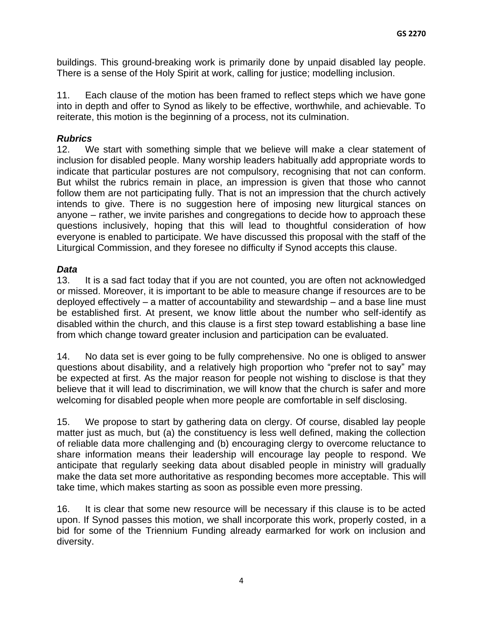buildings. This ground-breaking work is primarily done by unpaid disabled lay people. There is a sense of the Holy Spirit at work, calling for justice; modelling inclusion.

11. Each clause of the motion has been framed to reflect steps which we have gone into in depth and offer to Synod as likely to be effective, worthwhile, and achievable. To reiterate, this motion is the beginning of a process, not its culmination.

### *Rubrics*

12. We start with something simple that we believe will make a clear statement of inclusion for disabled people. Many worship leaders habitually add appropriate words to indicate that particular postures are not compulsory, recognising that not can conform. But whilst the rubrics remain in place, an impression is given that those who cannot follow them are not participating fully. That is not an impression that the church actively intends to give. There is no suggestion here of imposing new liturgical stances on anyone – rather, we invite parishes and congregations to decide how to approach these questions inclusively, hoping that this will lead to thoughtful consideration of how everyone is enabled to participate. We have discussed this proposal with the staff of the Liturgical Commission, and they foresee no difficulty if Synod accepts this clause.

### *Data*

13. It is a sad fact today that if you are not counted, you are often not acknowledged or missed. Moreover, it is important to be able to measure change if resources are to be deployed effectively – a matter of accountability and stewardship – and a base line must be established first. At present, we know little about the number who self-identify as disabled within the church, and this clause is a first step toward establishing a base line from which change toward greater inclusion and participation can be evaluated.

14. No data set is ever going to be fully comprehensive. No one is obliged to answer questions about disability, and a relatively high proportion who "prefer not to say" may be expected at first. As the major reason for people not wishing to disclose is that they believe that it will lead to discrimination, we will know that the church is safer and more welcoming for disabled people when more people are comfortable in self disclosing.

15. We propose to start by gathering data on clergy. Of course, disabled lay people matter just as much, but (a) the constituency is less well defined, making the collection of reliable data more challenging and (b) encouraging clergy to overcome reluctance to share information means their leadership will encourage lay people to respond. We anticipate that regularly seeking data about disabled people in ministry will gradually make the data set more authoritative as responding becomes more acceptable. This will take time, which makes starting as soon as possible even more pressing.

16. It is clear that some new resource will be necessary if this clause is to be acted upon. If Synod passes this motion, we shall incorporate this work, properly costed, in a bid for some of the Triennium Funding already earmarked for work on inclusion and diversity.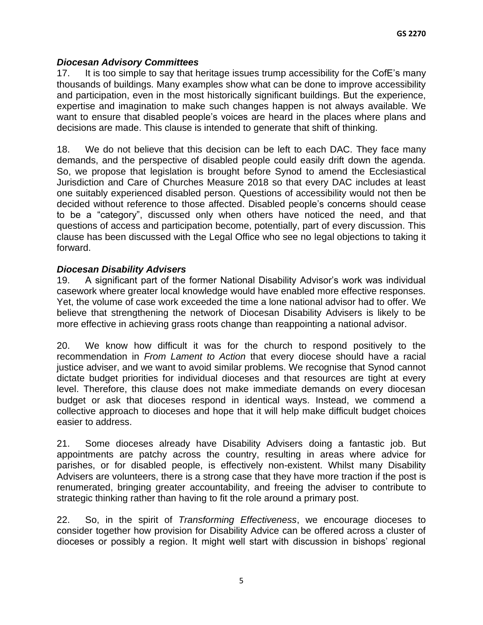### *Diocesan Advisory Committees*

17. It is too simple to say that heritage issues trump accessibility for the CofE's many thousands of buildings. Many examples show what can be done to improve accessibility and participation, even in the most historically significant buildings. But the experience, expertise and imagination to make such changes happen is not always available. We want to ensure that disabled people's voices are heard in the places where plans and decisions are made. This clause is intended to generate that shift of thinking.

18. We do not believe that this decision can be left to each DAC. They face many demands, and the perspective of disabled people could easily drift down the agenda. So, we propose that legislation is brought before Synod to amend the Ecclesiastical Jurisdiction and Care of Churches Measure 2018 so that every DAC includes at least one suitably experienced disabled person. Questions of accessibility would not then be decided without reference to those affected. Disabled people's concerns should cease to be a "category", discussed only when others have noticed the need, and that questions of access and participation become, potentially, part of every discussion. This clause has been discussed with the Legal Office who see no legal objections to taking it forward.

### *Diocesan Disability Advisers*

19. A significant part of the former National Disability Advisor's work was individual casework where greater local knowledge would have enabled more effective responses. Yet, the volume of case work exceeded the time a lone national advisor had to offer. We believe that strengthening the network of Diocesan Disability Advisers is likely to be more effective in achieving grass roots change than reappointing a national advisor.

20. We know how difficult it was for the church to respond positively to the recommendation in *From Lament to Action* that every diocese should have a racial justice adviser, and we want to avoid similar problems. We recognise that Synod cannot dictate budget priorities for individual dioceses and that resources are tight at every level. Therefore, this clause does not make immediate demands on every diocesan budget or ask that dioceses respond in identical ways. Instead, we commend a collective approach to dioceses and hope that it will help make difficult budget choices easier to address.

21. Some dioceses already have Disability Advisers doing a fantastic job. But appointments are patchy across the country, resulting in areas where advice for parishes, or for disabled people, is effectively non-existent. Whilst many Disability Advisers are volunteers, there is a strong case that they have more traction if the post is renumerated, bringing greater accountability, and freeing the adviser to contribute to strategic thinking rather than having to fit the role around a primary post.

22. So, in the spirit of *Transforming Effectiveness*, we encourage dioceses to consider together how provision for Disability Advice can be offered across a cluster of dioceses or possibly a region. It might well start with discussion in bishops' regional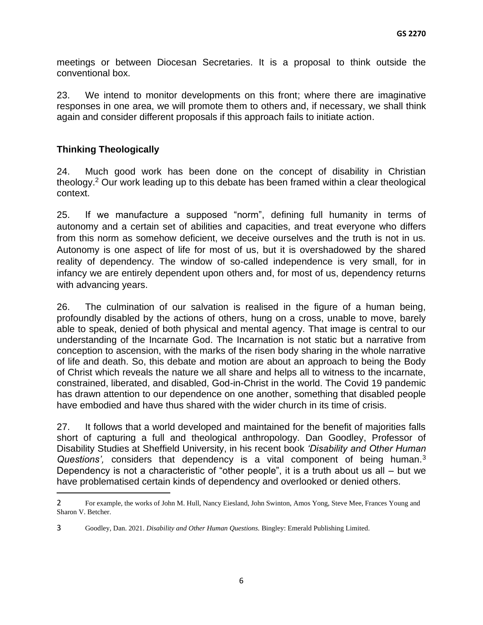meetings or between Diocesan Secretaries. It is a proposal to think outside the conventional box.

23. We intend to monitor developments on this front; where there are imaginative responses in one area, we will promote them to others and, if necessary, we shall think again and consider different proposals if this approach fails to initiate action.

## **Thinking Theologically**

24. Much good work has been done on the concept of disability in Christian theology.<sup>2</sup> Our work leading up to this debate has been framed within a clear theological context.

25. If we manufacture a supposed "norm", defining full humanity in terms of autonomy and a certain set of abilities and capacities, and treat everyone who differs from this norm as somehow deficient, we deceive ourselves and the truth is not in us. Autonomy is one aspect of life for most of us, but it is overshadowed by the shared reality of dependency. The window of so-called independence is very small, for in infancy we are entirely dependent upon others and, for most of us, dependency returns with advancing years.

26. The culmination of our salvation is realised in the figure of a human being, profoundly disabled by the actions of others, hung on a cross, unable to move, barely able to speak, denied of both physical and mental agency. That image is central to our understanding of the Incarnate God. The Incarnation is not static but a narrative from conception to ascension, with the marks of the risen body sharing in the whole narrative of life and death. So, this debate and motion are about an approach to being the Body of Christ which reveals the nature we all share and helps all to witness to the incarnate, constrained, liberated, and disabled, God-in-Christ in the world. The Covid 19 pandemic has drawn attention to our dependence on one another, something that disabled people have embodied and have thus shared with the wider church in its time of crisis.

27. It follows that a world developed and maintained for the benefit of majorities falls short of capturing a full and theological anthropology. Dan Goodley, Professor of Disability Studies at Sheffield University, in his recent book *'Disability and Other Human Questions',* considers that dependency is a vital component of being human.<sup>3</sup> Dependency is not a characteristic of "other people", it is a truth about us all – but we have problematised certain kinds of dependency and overlooked or denied others.

<sup>2</sup> For example, the works of John M. Hull, Nancy Eiesland, John Swinton, Amos Yong, Steve Mee, Frances Young and Sharon V. Betcher.

<sup>3</sup> Goodley, Dan. 2021. *Disability and Other Human Questions.* Bingley: Emerald Publishing Limited.